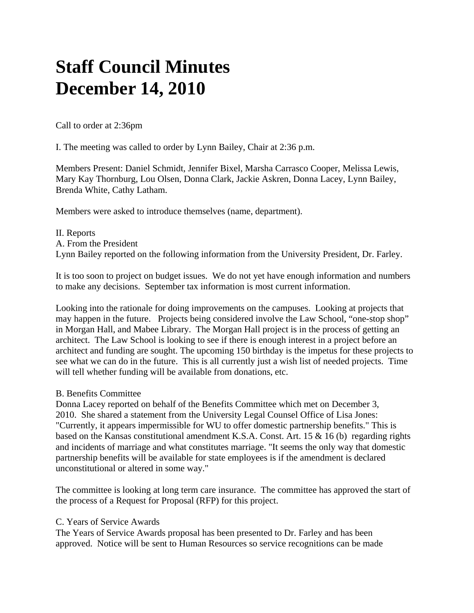# **Staff Council Minutes December 14, 2010**

Call to order at 2:36pm

I. The meeting was called to order by Lynn Bailey, Chair at 2:36 p.m.

Members Present: Daniel Schmidt, Jennifer Bixel, Marsha Carrasco Cooper, Melissa Lewis, Mary Kay Thornburg, Lou Olsen, Donna Clark, Jackie Askren, Donna Lacey, Lynn Bailey, Brenda White, Cathy Latham.

Members were asked to introduce themselves (name, department).

II. Reports A. From the President Lynn Bailey reported on the following information from the University President, Dr. Farley.

It is too soon to project on budget issues. We do not yet have enough information and numbers to make any decisions. September tax information is most current information.

Looking into the rationale for doing improvements on the campuses. Looking at projects that may happen in the future. Projects being considered involve the Law School, "one-stop shop" in Morgan Hall, and Mabee Library. The Morgan Hall project is in the process of getting an architect. The Law School is looking to see if there is enough interest in a project before an architect and funding are sought. The upcoming 150 birthday is the impetus for these projects to see what we can do in the future. This is all currently just a wish list of needed projects. Time will tell whether funding will be available from donations, etc.

## B. Benefits Committee

Donna Lacey reported on behalf of the Benefits Committee which met on December 3, 2010. She shared a statement from the University Legal Counsel Office of Lisa Jones: "Currently, it appears impermissible for WU to offer domestic partnership benefits." This is based on the Kansas constitutional amendment K.S.A. Const. Art. 15  $\&$  16 (b) regarding rights and incidents of marriage and what constitutes marriage. "It seems the only way that domestic partnership benefits will be available for state employees is if the amendment is declared unconstitutional or altered in some way."

The committee is looking at long term care insurance. The committee has approved the start of the process of a Request for Proposal (RFP) for this project.

## C. Years of Service Awards

The Years of Service Awards proposal has been presented to Dr. Farley and has been approved. Notice will be sent to Human Resources so service recognitions can be made